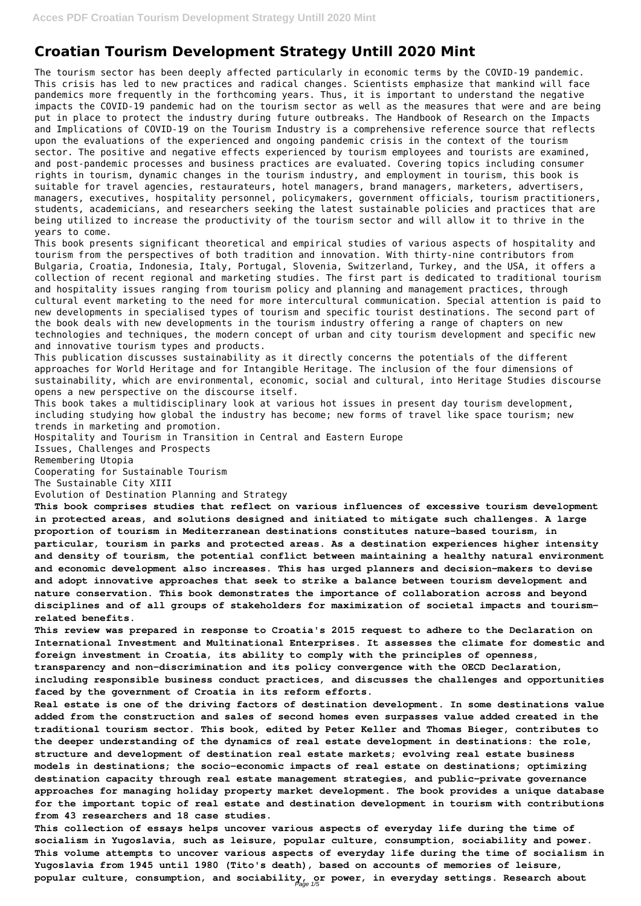# **Croatian Tourism Development Strategy Untill 2020 Mint**

The tourism sector has been deeply affected particularly in economic terms by the COVID-19 pandemic. This crisis has led to new practices and radical changes. Scientists emphasize that mankind will face pandemics more frequently in the forthcoming years. Thus, it is important to understand the negative impacts the COVID-19 pandemic had on the tourism sector as well as the measures that were and are being put in place to protect the industry during future outbreaks. The Handbook of Research on the Impacts and Implications of COVID-19 on the Tourism Industry is a comprehensive reference source that reflects upon the evaluations of the experienced and ongoing pandemic crisis in the context of the tourism sector. The positive and negative effects experienced by tourism employees and tourists are examined, and post-pandemic processes and business practices are evaluated. Covering topics including consumer rights in tourism, dynamic changes in the tourism industry, and employment in tourism, this book is suitable for travel agencies, restaurateurs, hotel managers, brand managers, marketers, advertisers, managers, executives, hospitality personnel, policymakers, government officials, tourism practitioners, students, academicians, and researchers seeking the latest sustainable policies and practices that are being utilized to increase the productivity of the tourism sector and will allow it to thrive in the years to come.

This book presents significant theoretical and empirical studies of various aspects of hospitality and tourism from the perspectives of both tradition and innovation. With thirty-nine contributors from Bulgaria, Croatia, Indonesia, Italy, Portugal, Slovenia, Switzerland, Turkey, and the USA, it offers a collection of recent regional and marketing studies. The first part is dedicated to traditional tourism and hospitality issues ranging from tourism policy and planning and management practices, through cultural event marketing to the need for more intercultural communication. Special attention is paid to new developments in specialised types of tourism and specific tourist destinations. The second part of the book deals with new developments in the tourism industry offering a range of chapters on new technologies and techniques, the modern concept of urban and city tourism development and specific new and innovative tourism types and products.

This publication discusses sustainability as it directly concerns the potentials of the different approaches for World Heritage and for Intangible Heritage. The inclusion of the four dimensions of sustainability, which are environmental, economic, social and cultural, into Heritage Studies discourse opens a new perspective on the discourse itself.

This book takes a multidisciplinary look at various hot issues in present day tourism development, including studying how global the industry has become; new forms of travel like space tourism; new trends in marketing and promotion.

Hospitality and Tourism in Transition in Central and Eastern Europe

Issues, Challenges and Prospects

Remembering Utopia

Cooperating for Sustainable Tourism

The Sustainable City XIII

Evolution of Destination Planning and Strategy

**This book comprises studies that reflect on various influences of excessive tourism development in protected areas, and solutions designed and initiated to mitigate such challenges. A large proportion of tourism in Mediterranean destinations constitutes nature-based tourism, in particular, tourism in parks and protected areas. As a destination experiences higher intensity and density of tourism, the potential conflict between maintaining a healthy natural environment and economic development also increases. This has urged planners and decision-makers to devise and adopt innovative approaches that seek to strike a balance between tourism development and nature conservation. This book demonstrates the importance of collaboration across and beyond disciplines and of all groups of stakeholders for maximization of societal impacts and tourismrelated benefits.**

**This review was prepared in response to Croatia's 2015 request to adhere to the Declaration on International Investment and Multinational Enterprises. It assesses the climate for domestic and foreign investment in Croatia, its ability to comply with the principles of openness, transparency and non-discrimination and its policy convergence with the OECD Declaration, including responsible business conduct practices, and discusses the challenges and opportunities**

**faced by the government of Croatia in its reform efforts.**

**Real estate is one of the driving factors of destination development. In some destinations value added from the construction and sales of second homes even surpasses value added created in the traditional tourism sector. This book, edited by Peter Keller and Thomas Bieger, contributes to the deeper understanding of the dynamics of real estate development in destinations: the role, structure and development of destination real estate markets; evolving real estate business models in destinations; the socio-economic impacts of real estate on destinations; optimizing destination capacity through real estate management strategies, and public-private governance approaches for managing holiday property market development. The book provides a unique database for the important topic of real estate and destination development in tourism with contributions from 43 researchers and 18 case studies.**

**This collection of essays helps uncover various aspects of everyday life during the time of socialism in Yugoslavia, such as leisure, popular culture, consumption, sociability and power. This volume attempts to uncover various aspects of everyday life during the time of socialism in Yugoslavia from 1945 until 1980 (Tito's death), based on accounts of memories of leisure, popular culture, consumption, and sociability, or power, in everyday settings. Research about** Page 1/5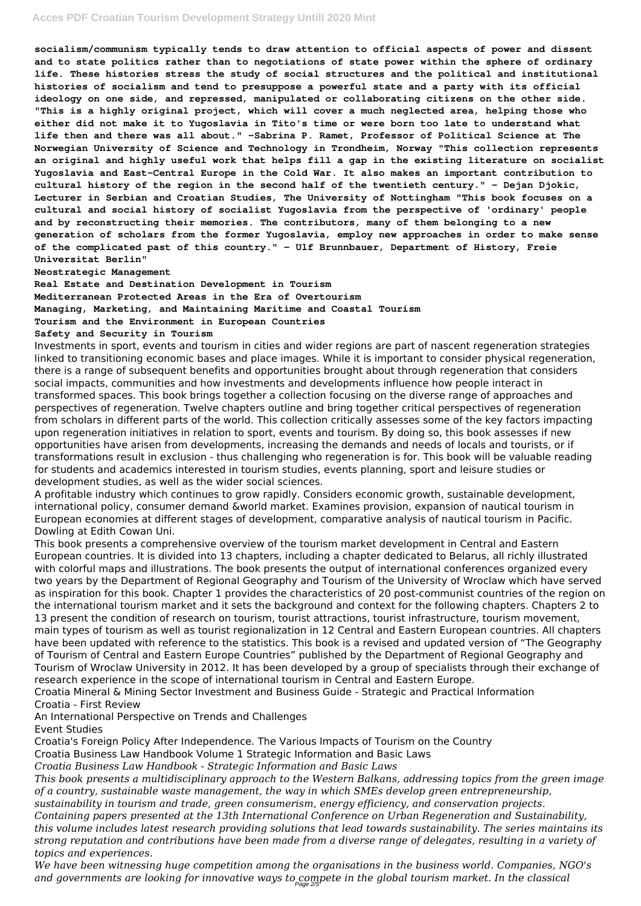**socialism/communism typically tends to draw attention to official aspects of power and dissent and to state politics rather than to negotiations of state power within the sphere of ordinary life. These histories stress the study of social structures and the political and institutional histories of socialism and tend to presuppose a powerful state and a party with its official ideology on one side, and repressed, manipulated or collaborating citizens on the other side. "This is a highly original project, which will cover a much neglected area, helping those who either did not make it to Yugoslavia in Tito's time or were born too late to understand what life then and there was all about." -Sabrina P. Ramet, Professor of Political Science at The Norwegian University of Science and Technology in Trondheim, Norway "This collection represents an original and highly useful work that helps fill a gap in the existing literature on socialist Yugoslavia and East-Central Europe in the Cold War. It also makes an important contribution to cultural history of the region in the second half of the twentieth century." - Dejan Djokic, Lecturer in Serbian and Croatian Studies, The University of Nottingham "This book focuses on a cultural and social history of socialist Yugoslavia from the perspective of 'ordinary' people and by reconstructing their memories. The contributors, many of them belonging to a new generation of scholars from the former Yugoslavia, employ new approaches in order to make sense of the complicated past of this country." - Ulf Brunnbauer, Department of History, Freie Universitat Berlin"**

**Neostrategic Management**

**Real Estate and Destination Development in Tourism**

**Mediterranean Protected Areas in the Era of Overtourism**

**Managing, Marketing, and Maintaining Maritime and Coastal Tourism**

**Tourism and the Environment in European Countries**

**Safety and Security in Tourism**

Investments in sport, events and tourism in cities and wider regions are part of nascent regeneration strategies linked to transitioning economic bases and place images. While it is important to consider physical regeneration, there is a range of subsequent benefits and opportunities brought about through regeneration that considers social impacts, communities and how investments and developments influence how people interact in transformed spaces. This book brings together a collection focusing on the diverse range of approaches and perspectives of regeneration. Twelve chapters outline and bring together critical perspectives of regeneration from scholars in different parts of the world. This collection critically assesses some of the key factors impacting upon regeneration initiatives in relation to sport, events and tourism. By doing so, this book assesses if new opportunities have arisen from developments, increasing the demands and needs of locals and tourists, or if transformations result in exclusion - thus challenging who regeneration is for. This book will be valuable reading for students and academics interested in tourism studies, events planning, sport and leisure studies or development studies, as well as the wider social sciences.

A profitable industry which continues to grow rapidly. Considers economic growth, sustainable development, international policy, consumer demand &world market. Examines provision, expansion of nautical tourism in European economies at different stages of development, comparative analysis of nautical tourism in Pacific. Dowling at Edith Cowan Uni.

This book presents a comprehensive overview of the tourism market development in Central and Eastern European countries. It is divided into 13 chapters, including a chapter dedicated to Belarus, all richly illustrated with colorful maps and illustrations. The book presents the output of international conferences organized every two years by the Department of Regional Geography and Tourism of the University of Wroclaw which have served as inspiration for this book. Chapter 1 provides the characteristics of 20 post-communist countries of the region on the international tourism market and it sets the background and context for the following chapters. Chapters 2 to 13 present the condition of research on tourism, tourist attractions, tourist infrastructure, tourism movement, main types of tourism as well as tourist regionalization in 12 Central and Eastern European countries. All chapters have been updated with reference to the statistics. This book is a revised and updated version of "The Geography of Tourism of Central and Eastern Europe Countries" published by the Department of Regional Geography and Tourism of Wroclaw University in 2012. It has been developed by a group of specialists through their exchange of research experience in the scope of international tourism in Central and Eastern Europe. Croatia Mineral & Mining Sector Investment and Business Guide - Strategic and Practical Information Croatia - First Review An International Perspective on Trends and Challenges Event Studies Croatia's Foreign Policy After Independence. The Various Impacts of Tourism on the Country Croatia Business Law Handbook Volume 1 Strategic Information and Basic Laws *Croatia Business Law Handbook - Strategic Information and Basic Laws This book presents a multidisciplinary approach to the Western Balkans, addressing topics from the green image of a country, sustainable waste management, the way in which SMEs develop green entrepreneurship, sustainability in tourism and trade, green consumerism, energy efficiency, and conservation projects. Containing papers presented at the 13th International Conference on Urban Regeneration and Sustainability, this volume includes latest research providing solutions that lead towards sustainability. The series maintains its strong reputation and contributions have been made from a diverse range of delegates, resulting in a variety of topics and experiences. We have been witnessing huge competition among the organisations in the business world. Companies, NGO's and governments are looking for innovative ways to compete in the global tourism market. In the classical* Page 2/5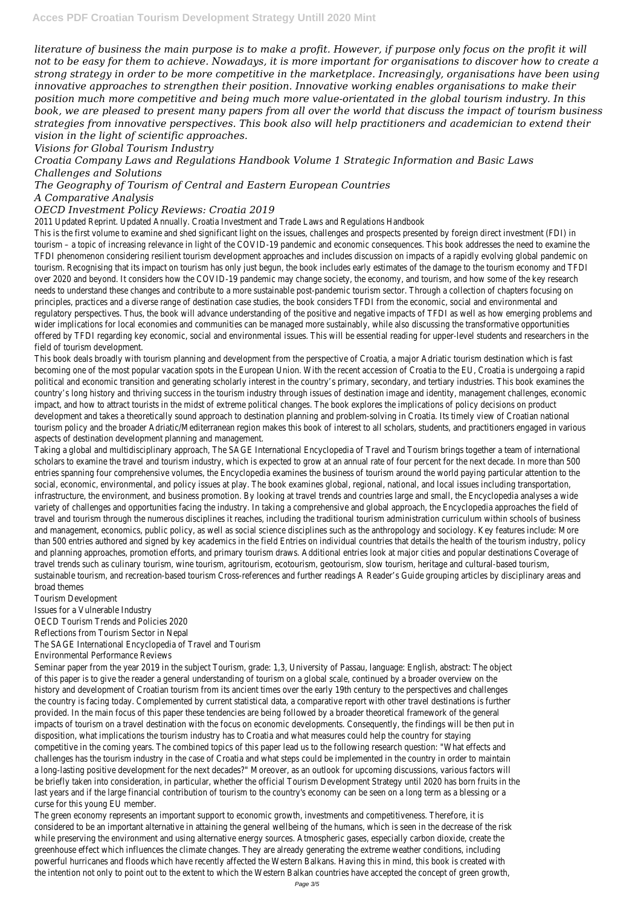*literature of business the main purpose is to make a profit. However, if purpose only focus on the profit it will not to be easy for them to achieve. Nowadays, it is more important for organisations to discover how to create a strong strategy in order to be more competitive in the marketplace. Increasingly, organisations have been using innovative approaches to strengthen their position. Innovative working enables organisations to make their position much more competitive and being much more value-orientated in the global tourism industry. In this book, we are pleased to present many papers from all over the world that discuss the impact of tourism business strategies from innovative perspectives. This book also will help practitioners and academician to extend their vision in the light of scientific approaches.*

*Visions for Global Tourism Industry*

*Croatia Company Laws and Regulations Handbook Volume 1 Strategic Information and Basic Laws Challenges and Solutions*

### *The Geography of Tourism of Central and Eastern European Countries*

### *A Comparative Analysis*

#### *OECD Investment Policy Reviews: Croatia 2019*

2011 Updated Reprint. Updated Annually. Croatia Investment and Trade Laws and Regulations Handbo

This is the first volume to examine and shed significant light on the issues, challenges and prospects presented by foreign direct invertured (FI) in the state of the state of the state of the state of the independent (FI) tourism – a topic of increasing relevance in light of the COVID-19 pandemic and economic consequences. This book addresses the ne TFDI phenomenon considering resilient tourism development approaches and includes discussion on impacts of a rapidly evolving global pandemic on the mandemic on the mandemic on the mandemic on the mandemic on the mandemic tourism. Recognising that its impact on tourism has only just begun, the book includes early estimates of the damage to the tourism over 2020 and beyond. It considers how the COVID-19 pandemic may change society, the economy, and tourism, and how some of needs to understand these changes and contribute to a more sustainable post-pandemic tourism sector. Through a collection of chapters principles, practices and a diverse range of destination case studies, the book considers TFDI from the economic, social and environr regulatory perspectives. Thus, the book will advance understanding of the positive and negative impacts of TFDI as well as how eme wider implications for local economies and communities can be managed more sustainably, while also discussing the transformative offered by TFDI regarding key economic, social and environmental issues. This will be essential reading for upper-level students and r field of tourism development.

This book deals broadly with tourism planning and development from the perspective of Croatia, a major Adriatic tourism destination becoming one of the most popular vacation spots in the European Union. With the recent accession of Croatia to the EU, Croatia is political and economic transition and generating scholarly interest in the country's primary, secondary, and tertiary industries. This b country's long history and thriving success in the tourism industry through issues of destination image and identity, management cl impact, and how to attract tourists in the midst of extreme political changes. The book explores the implications of policy decisions development and takes a theoretically sound approach to destination planning and problem-solving in Croatia. Its timely view of Croa tourism policy and the broader Adriatic/Mediterranean region makes this book of interest to all scholars, students, and practitioners aspects of destination development planning and management

Taking a global and multidisciplinary approach, The SAGE International Encyclopedia of Travel and Tourism brings together a team of scholars to examine the travel and tourism industry, which is expected to grow at an annual rate of four percent for the next deca entries spanning four comprehensive volumes, the Encyclopedia examines the business of tourism around the world paying particula social, economic, environmental, and policy issues at play. The book examines global, regional, national, and local issues including tran infrastructure, the environment, and business promotion. By looking at travel trends and countries large and small, the Encyclopedia variety of challenges and opportunities facing the industry. In taking a comprehensive and global approach, the Encyclopedia approac travel and tourism through the numerous disciplines it reaches, including the traditional tourism administration curriculum within sc and management, economics, public policy, as well as social science disciplines such as the anthropology and sociology. Key features than 500 entries authored and signed by key academics in the field Entries on individual countries that details the health of the tourn industry industry, policy, policy, policy, policy, policy, policy, policy, points, poi and planning approaches, promotion efforts, and primary tourism draws. Additional entries look at major cities and popular destinations travel trends such as culinary tourism, wine tourism, agritourism, ecotourism, geotourism, slow tourism, heritage and cultural-based sustainable tourism, and recreation-based tourism Cross-references and further readings A Reader's Guide grouping articles by discipling broad themes

Tourism Development Issues for a Vulnerable Industry OECD Tourism Trends and Policies 2020 Reflections from Tourism Sector in Nepa The SAGE International Encyclopedia of Travel and Tourism Environmental Performance Reviews Seminar paper from the year 2019 in the subject Tourism, grade: 1,3, University of Passau, language: English, abstract: The obje

of this paper is to give the reader a general understanding of tourism on a global scale, continued by a broader overview on t

history and development of Croatian tourism from its ancient times over the early 19th century to the perspectives and challeng the country is facing today. Complemented by current statistical data, a comparative report with other travel destinations is furti provided. In the main focus of this paper these tendencies are being followed by a broader theoretical framework of the gene impacts of tourism on a travel destination with the focus on economic developments. Consequently, the findings will be then put disposition, what implications the tourism industry has to Croatia and what measures could help the country for stay competitive in the coming years. The combined topics of this paper lead us to the following research question: "What effects a challenges has the tourism industry in the case of Croatia and what steps could be implemented in the country in order to mainta a long-lasting positive development for the next decades?" Moreover, as an outlook for upcoming discussions, various factors w be briefly taken into consideration, in particular, whether the official Tourism Development Strategy until 2020 has born fruits in t last years and if the large financial contribution of tourism to the country's economy can be seen on a long term as a blessing o curse for this young EU member.

The green economy represents an important support to economic growth, investments and competitiveness. Therefore, it considered to be an important alternative in attaining the general wellbeing of the humans, which is seen in the decrease of the r while preserving the environment and using alternative energy sources. Atmospheric gases, especially carbon dioxide, create to greenhouse effect which influences the climate changes. They are already generating the extreme weather conditions, includi powerful hurricanes and floods which have recently affected the Western Balkans. Having this in mind, this book is created w the intention not only to point out to the extent to which the Western Balkan countries have accepted the concept of green grow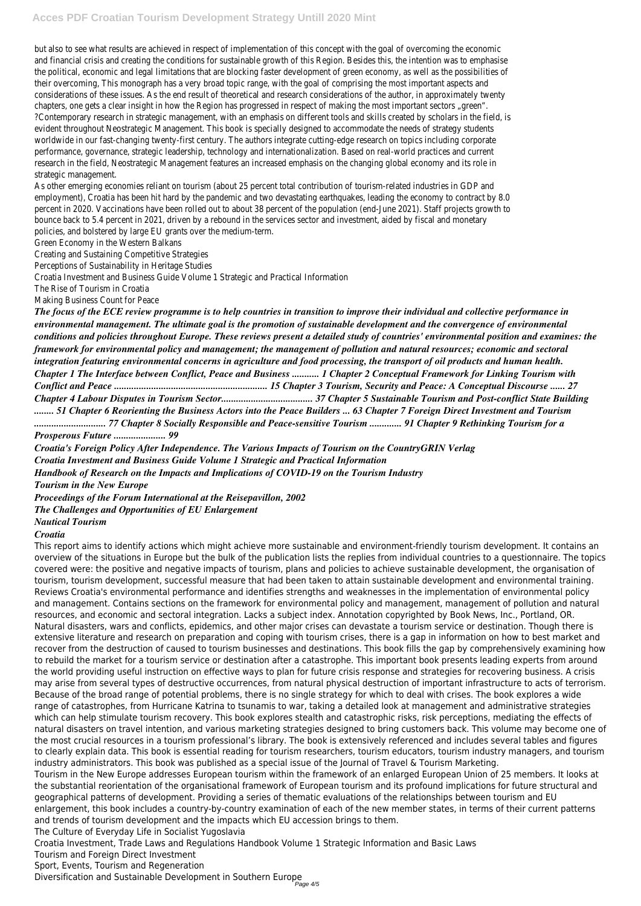but also to see what results are achieved in respect of implementation of this concept with the goal of overcoming the econor and financial crisis and creating the conditions for sustainable growth of this Region. Besides this, the intention was to emphas the political, economic and legal limitations that are blocking faster development of green economy, as well as the possibilities their overcoming, This monograph has a very broad topic range, with the goal of comprising the most important aspects a considerations of these issues. As the end result of theoretical and research considerations of the author, in approximately twent chapters, one gets a clear insight in how the Region has progressed in respect of making the most important sectors "gree ?Contemporary research in strategic management, with an emphasis on different tools and skills created by scholars in the field evident throughout Neostrategic Management. This book is specially designed to accommodate the needs of strategy studer worldwide in our fast-changing twenty-first century. The authors integrate cutting-edge research on topics including corporation performance, governance, strategic leadership, technology and internationalization. Based on real-world practices and curre research in the field, Neostrategic Management features an increased emphasis on the changing global economy and its role strategic management.

As other emerging economies reliant on tourism (about 25 percent total contribution of tourism-related industries in GDP a employment), Croatia has been hit hard by the pandemic and two devastating earthquakes, leading the economy to contract by 8. percent in 2020. Vaccinations have been rolled out to about 38 percent of the population (end-June 2021). Staff projects growth bounce back to 5.4 percent in 2021, driven by a rebound in the services sector and investment, aided by fiscal and monetary policies, and bolstered by large EU grants over the medium-term.

Green Economy in the Western Balkans

Creating and Sustaining Competitive Strategies

Perceptions of Sustainability in Heritage Studies

Croatia Investment and Business Guide Volume 1 Strategic and Practical Informatio

The Rise of Tourism in Croatia

Making Business Count for Peace

*The focus of the ECE review programme is to help countries in transition to improve their individual and collective performance in environmental management. The ultimate goal is the promotion of sustainable development and the convergence of environmental conditions and policies throughout Europe. These reviews present a detailed study of countries' environmental position and examines: the framework for environmental policy and management; the management of pollution and natural resources; economic and sectoral integration featuring environmental concerns in agriculture and food processing, the transport of oil products and human health. Chapter 1 The Interface between Conflict, Peace and Business ........... 1 Chapter 2 Conceptual Framework for Linking Tourism with Conflict and Peace .............................................................. 15 Chapter 3 Tourism, Security and Peace: A Conceptual Discourse ...... 27 Chapter 4 Labour Disputes in Tourism Sector..................................... 37 Chapter 5 Sustainable Tourism and Post-conflict State Building ........ 51 Chapter 6 Reorienting the Business Actors into the Peace Builders ... 63 Chapter 7 Foreign Direct Investment and Tourism ............................. 77 Chapter 8 Socially Responsible and Peace-sensitive Tourism ............. 91 Chapter 9 Rethinking Tourism for a Prosperous Future ..................... 99*

*Croatia's Foreign Policy After Independence. The Various Impacts of Tourism on the CountryGRIN Verlag*

*Croatia Investment and Business Guide Volume 1 Strategic and Practical Information*

*Handbook of Research on the Impacts and Implications of COVID-19 on the Tourism Industry*

*Tourism in the New Europe*

*Proceedings of the Forum International at the Reisepavillon, 2002*

*The Challenges and Opportunities of EU Enlargement*

*Nautical Tourism*

#### *Croatia*

This report aims to identify actions which might achieve more sustainable and environment-friendly tourism development. It contains an overview of the situations in Europe but the bulk of the publication lists the replies from individual countries to a questionnaire. The topics covered were: the positive and negative impacts of tourism, plans and policies to achieve sustainable development, the organisation of tourism, tourism development, successful measure that had been taken to attain sustainable development and environmental training. Reviews Croatia's environmental performance and identifies strengths and weaknesses in the implementation of environmental policy and management. Contains sections on the framework for environmental policy and management, management of pollution and natural resources, and economic and sectoral integration. Lacks a subject index. Annotation copyrighted by Book News, Inc., Portland, OR. Natural disasters, wars and conflicts, epidemics, and other major crises can devastate a tourism service or destination. Though there is extensive literature and research on preparation and coping with tourism crises, there is a gap in information on how to best market and recover from the destruction of caused to tourism businesses and destinations. This book fills the gap by comprehensively examining how to rebuild the market for a tourism service or destination after a catastrophe. This important book presents leading experts from around the world providing useful instruction on effective ways to plan for future crisis response and strategies for recovering business. A crisis may arise from several types of destructive occurrences, from natural physical destruction of important infrastructure to acts of terrorism. Because of the broad range of potential problems, there is no single strategy for which to deal with crises. The book explores a wide range of catastrophes, from Hurricane Katrina to tsunamis to war, taking a detailed look at management and administrative strategies which can help stimulate tourism recovery. This book explores stealth and catastrophic risks, risk perceptions, mediating the effects of natural disasters on travel intention, and various marketing strategies designed to bring customers back. This volume may become one of the most crucial resources in a tourism professional's library. The book is extensively referenced and includes several tables and figures to clearly explain data. This book is essential reading for tourism researchers, tourism educators, tourism industry managers, and tourism industry administrators. This book was published as a special issue of the Journal of Travel & Tourism Marketing. Tourism in the New Europe addresses European tourism within the framework of an enlarged European Union of 25 members. It looks at the substantial reorientation of the organisational framework of European tourism and its profound implications for future structural and geographical patterns of development. Providing a series of thematic evaluations of the relationships between tourism and EU enlargement, this book includes a country-by-country examination of each of the new member states, in terms of their current patterns and trends of tourism development and the impacts which EU accession brings to them. The Culture of Everyday Life in Socialist Yugoslavia Croatia Investment, Trade Laws and Regulations Handbook Volume 1 Strategic Information and Basic Laws

- Tourism and Foreign Direct Investment
- Sport, Events, Tourism and Regeneration

Diversification and Sustainable Development in Southern Europe